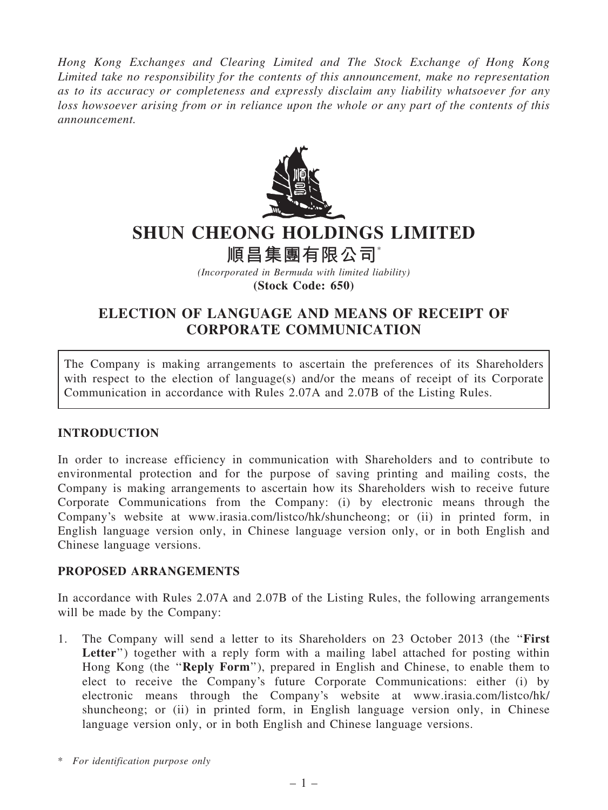Hong Kong Exchanges and Clearing Limited and The Stock Exchange of Hong Kong Limited take no responsibility for the contents of this announcement, make no representation as to its accuracy or completeness and expressly disclaim any liability whatsoever for any loss howsoever arising from or in reliance upon the whole or any part of the contents of this announcement.



# SHUN CHEONG HOLDINGS LIMITED

順昌集團有限公司\*

(Incorporated in Bermuda with limited liability) (Stock Code: 650)

## ELECTION OF LANGUAGE AND MEANS OF RECEIPT OF CORPORATE COMMUNICATION

The Company is making arrangements to ascertain the preferences of its Shareholders with respect to the election of language(s) and/or the means of receipt of its Corporate Communication in accordance with Rules 2.07A and 2.07B of the Listing Rules.

### INTRODUCTION

In order to increase efficiency in communication with Shareholders and to contribute to environmental protection and for the purpose of saving printing and mailing costs, the Company is making arrangements to ascertain how its Shareholders wish to receive future Corporate Communications from the Company: (i) by electronic means through the Company's website at www.irasia.com/listco/hk/shuncheong; or (ii) in printed form, in English language version only, in Chinese language version only, or in both English and Chinese language versions.

### PROPOSED ARRANGEMENTS

In accordance with Rules 2.07A and 2.07B of the Listing Rules, the following arrangements will be made by the Company:

1. The Company will send a letter to its Shareholders on 23 October 2013 (the ''First Letter") together with a reply form with a mailing label attached for posting within Hong Kong (the ''Reply Form''), prepared in English and Chinese, to enable them to elect to receive the Company's future Corporate Communications: either (i) by electronic means through the Company's website at www.irasia.com/listco/hk/ shuncheong; or (ii) in printed form, in English language version only, in Chinese language version only, or in both English and Chinese language versions.

<sup>\*</sup> For identification purpose only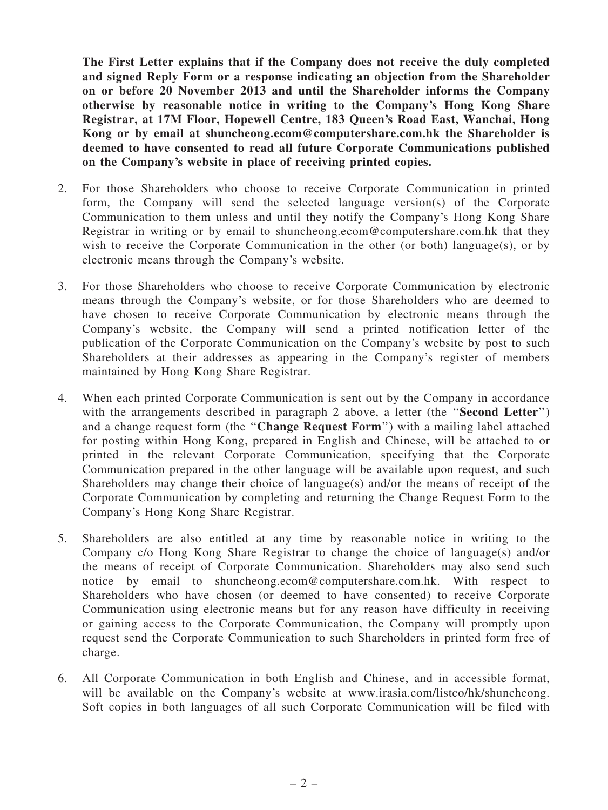The First Letter explains that if the Company does not receive the duly completed and signed Reply Form or a response indicating an objection from the Shareholder on or before 20 November 2013 and until the Shareholder informs the Company otherwise by reasonable notice in writing to the Company's Hong Kong Share Registrar, at 17M Floor, Hopewell Centre, 183 Queen's Road East, Wanchai, Hong Kong or by email at shuncheong.ecom@computershare.com.hk the Shareholder is deemed to have consented to read all future Corporate Communications published on the Company's website in place of receiving printed copies.

- 2. For those Shareholders who choose to receive Corporate Communication in printed form, the Company will send the selected language version(s) of the Corporate Communication to them unless and until they notify the Company's Hong Kong Share Registrar in writing or by email to shuncheong.ecom@computershare.com.hk that they wish to receive the Corporate Communication in the other (or both) language(s), or by electronic means through the Company's website.
- 3. For those Shareholders who choose to receive Corporate Communication by electronic means through the Company's website, or for those Shareholders who are deemed to have chosen to receive Corporate Communication by electronic means through the Company's website, the Company will send a printed notification letter of the publication of the Corporate Communication on the Company's website by post to such Shareholders at their addresses as appearing in the Company's register of members maintained by Hong Kong Share Registrar.
- 4. When each printed Corporate Communication is sent out by the Company in accordance with the arrangements described in paragraph 2 above, a letter (the "**Second Letter**") and a change request form (the ''Change Request Form'') with a mailing label attached for posting within Hong Kong, prepared in English and Chinese, will be attached to or printed in the relevant Corporate Communication, specifying that the Corporate Communication prepared in the other language will be available upon request, and such Shareholders may change their choice of language(s) and/or the means of receipt of the Corporate Communication by completing and returning the Change Request Form to the Company's Hong Kong Share Registrar.
- 5. Shareholders are also entitled at any time by reasonable notice in writing to the Company c/o Hong Kong Share Registrar to change the choice of language(s) and/or the means of receipt of Corporate Communication. Shareholders may also send such notice by email to shuncheong.ecom@computershare.com.hk. With respect to Shareholders who have chosen (or deemed to have consented) to receive Corporate Communication using electronic means but for any reason have difficulty in receiving or gaining access to the Corporate Communication, the Company will promptly upon request send the Corporate Communication to such Shareholders in printed form free of charge.
- 6. All Corporate Communication in both English and Chinese, and in accessible format, will be available on the Company's website at www.irasia.com/listco/hk/shuncheong. Soft copies in both languages of all such Corporate Communication will be filed with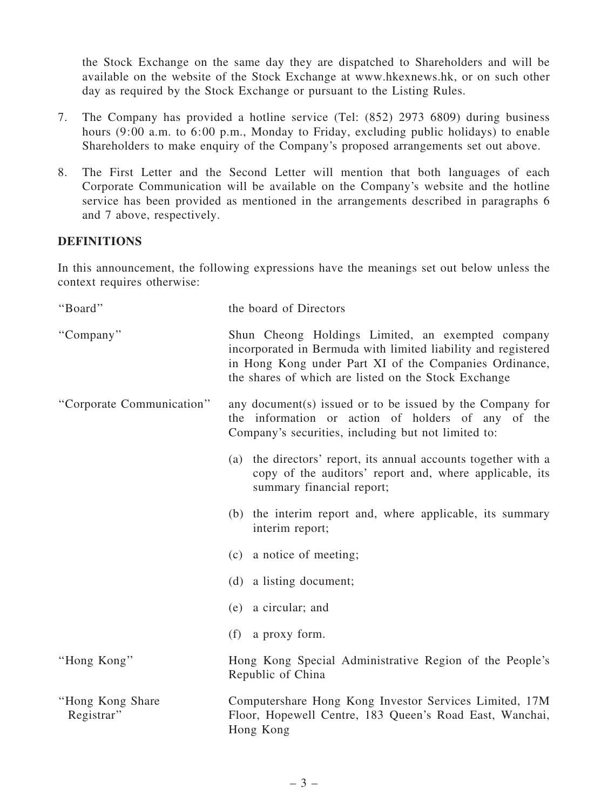the Stock Exchange on the same day they are dispatched to Shareholders and will be available on the website of the Stock Exchange at www.hkexnews.hk, or on such other day as required by the Stock Exchange or pursuant to the Listing Rules.

- 7. The Company has provided a hotline service (Tel: (852) 2973 6809) during business hours (9:00 a.m. to 6:00 p.m., Monday to Friday, excluding public holidays) to enable Shareholders to make enquiry of the Company's proposed arrangements set out above.
- 8. The First Letter and the Second Letter will mention that both languages of each Corporate Communication will be available on the Company's website and the hotline service has been provided as mentioned in the arrangements described in paragraphs 6 and 7 above, respectively.

#### DEFINITIONS

In this announcement, the following expressions have the meanings set out below unless the context requires otherwise:

| "Board"                         | the board of Directors                                                                                                                                                                                                               |
|---------------------------------|--------------------------------------------------------------------------------------------------------------------------------------------------------------------------------------------------------------------------------------|
| "Company"                       | Shun Cheong Holdings Limited, an exempted company<br>incorporated in Bermuda with limited liability and registered<br>in Hong Kong under Part XI of the Companies Ordinance,<br>the shares of which are listed on the Stock Exchange |
| "Corporate Communication"       | any document(s) issued or to be issued by the Company for<br>the information or action of holders of any of the<br>Company's securities, including but not limited to:                                                               |
|                                 | (a) the directors' report, its annual accounts together with a<br>copy of the auditors' report and, where applicable, its<br>summary financial report;                                                                               |
|                                 | (b) the interim report and, where applicable, its summary<br>interim report;                                                                                                                                                         |
|                                 | (c) a notice of meeting;                                                                                                                                                                                                             |
|                                 | (d) a listing document;                                                                                                                                                                                                              |
|                                 | (e) a circular; and                                                                                                                                                                                                                  |
|                                 | (f) a proxy form.                                                                                                                                                                                                                    |
| "Hong Kong"                     | Hong Kong Special Administrative Region of the People's<br>Republic of China                                                                                                                                                         |
| "Hong Kong Share"<br>Registrar" | Computershare Hong Kong Investor Services Limited, 17M<br>Floor, Hopewell Centre, 183 Queen's Road East, Wanchai,<br>Hong Kong                                                                                                       |